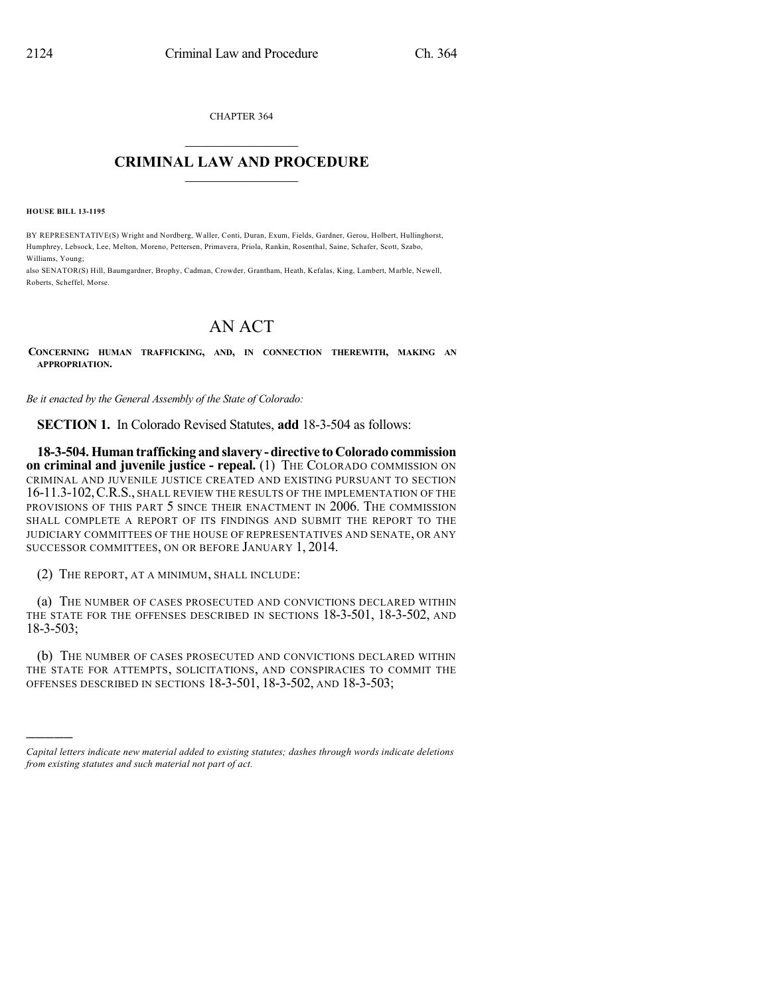CHAPTER 364  $\overline{\phantom{a}}$  . The set of the set of the set of the set of the set of the set of the set of the set of the set of the set of the set of the set of the set of the set of the set of the set of the set of the set of the set o

## **CRIMINAL LAW AND PROCEDURE**  $\frac{1}{2}$  ,  $\frac{1}{2}$  ,  $\frac{1}{2}$  ,  $\frac{1}{2}$  ,  $\frac{1}{2}$  ,  $\frac{1}{2}$  ,  $\frac{1}{2}$

**HOUSE BILL 13-1195**

)))))

BY REPRESENTATIVE(S) Wright and Nordberg, Waller, Conti, Duran, Exum, Fields, Gardner, Gerou, Holbert, Hullinghorst, Humphrey, Lebsock, Lee, Melton, Moreno, Pettersen, Primavera, Priola, Rankin, Rosenthal, Saine, Schafer, Scott, Szabo, Williams, Young;

also SENATOR(S) Hill, Baumgardner, Brophy, Cadman, Crowder, Grantham, Heath, Kefalas, King, Lambert, Marble, Newell, Roberts, Scheffel, Morse.

## AN ACT

**CONCERNING HUMAN TRAFFICKING, AND, IN CONNECTION THEREWITH, MAKING AN APPROPRIATION.**

*Be it enacted by the General Assembly of the State of Colorado:*

**SECTION 1.** In Colorado Revised Statutes, **add** 18-3-504 as follows:

**18-3-504.Human trafficking andslavery -directive toColorado commission on criminal and juvenile justice - repeal.** (1) THE COLORADO COMMISSION ON CRIMINAL AND JUVENILE JUSTICE CREATED AND EXISTING PURSUANT TO SECTION 16-11.3-102,C.R.S., SHALL REVIEW THE RESULTS OF THE IMPLEMENTATION OF THE PROVISIONS OF THIS PART 5 SINCE THEIR ENACTMENT IN 2006. THE COMMISSION SHALL COMPLETE A REPORT OF ITS FINDINGS AND SUBMIT THE REPORT TO THE JUDICIARY COMMITTEES OF THE HOUSE OF REPRESENTATIVES AND SENATE, OR ANY SUCCESSOR COMMITTEES, ON OR BEFORE JANUARY 1, 2014.

(2) THE REPORT, AT A MINIMUM, SHALL INCLUDE:

(a) THE NUMBER OF CASES PROSECUTED AND CONVICTIONS DECLARED WITHIN THE STATE FOR THE OFFENSES DESCRIBED IN SECTIONS 18-3-501, 18-3-502, AND 18-3-503;

(b) THE NUMBER OF CASES PROSECUTED AND CONVICTIONS DECLARED WITHIN THE STATE FOR ATTEMPTS, SOLICITATIONS, AND CONSPIRACIES TO COMMIT THE OFFENSES DESCRIBED IN SECTIONS 18-3-501, 18-3-502, AND 18-3-503;

*Capital letters indicate new material added to existing statutes; dashes through words indicate deletions from existing statutes and such material not part of act.*